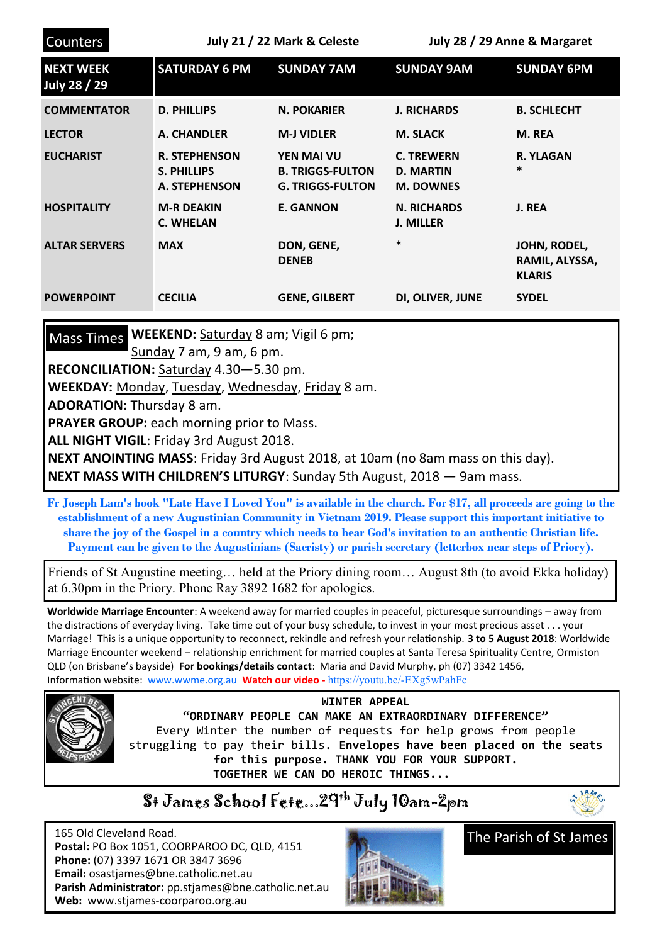| <b>Counters</b>                  | July 21 / 22 Mark & Celeste                                 |                                                                         | July 28 / 29 Anne & Margaret                              |                                                 |
|----------------------------------|-------------------------------------------------------------|-------------------------------------------------------------------------|-----------------------------------------------------------|-------------------------------------------------|
| <b>NEXT WEEK</b><br>July 28 / 29 | <b>SATURDAY 6 PM</b>                                        | <b>SUNDAY 7AM</b>                                                       | <b>SUNDAY 9AM</b>                                         | <b>SUNDAY 6PM</b>                               |
| <b>COMMENTATOR</b>               | <b>D. PHILLIPS</b>                                          | <b>N. POKARIER</b>                                                      | <b>J. RICHARDS</b>                                        | <b>B. SCHLECHT</b>                              |
| <b>LECTOR</b>                    | A. CHANDLER                                                 | <b>M-J VIDLER</b>                                                       | <b>M. SLACK</b>                                           | M. REA                                          |
| <b>EUCHARIST</b>                 | <b>R. STEPHENSON</b><br><b>S. PHILLIPS</b><br>A. STEPHENSON | <b>YEN MAI VU</b><br><b>B. TRIGGS-FULTON</b><br><b>G. TRIGGS-FULTON</b> | <b>C. TREWERN</b><br><b>D. MARTIN</b><br><b>M. DOWNES</b> | <b>R. YLAGAN</b><br>$\ast$                      |
| <b>HOSPITALITY</b>               | <b>M-R DEAKIN</b><br><b>C. WHELAN</b>                       | <b>E. GANNON</b>                                                        | <b>N. RICHARDS</b><br><b>J. MILLER</b>                    | J. REA                                          |
| <b>ALTAR SERVERS</b>             | <b>MAX</b>                                                  | DON, GENE,<br><b>DENEB</b>                                              | *                                                         | JOHN, RODEL,<br>RAMIL, ALYSSA,<br><b>KLARIS</b> |
| <b>POWERPOINT</b>                | <b>CECILIA</b>                                              | <b>GENE, GILBERT</b>                                                    | DI, OLIVER, JUNE                                          | <b>SYDEL</b>                                    |

Mass Times WEEKEND: Saturday 8 am; Vigil 6 pm;

Sunday 7 am, 9 am, 6 pm.

**RECONCILIATION:** Saturday 4.30—5.30 pm.

**WEEKDAY:** Monday, Tuesday, Wednesday, Friday 8 am.

**ADORATION:** Thursday 8 am.

**PRAYER GROUP:** each morning prior to Mass.

**ALL NIGHT VIGIL**: Friday 3rd August 2018.

**NEXT ANOINTING MASS**: Friday 3rd August 2018, at 10am (no 8am mass on this day). **NEXT MASS WITH CHILDREN'S LITURGY**: Sunday 5th August, 2018 — 9am mass.

**Fr Joseph Lam's book "Late Have I Loved You" is available in the church. For \$17, all proceeds are going to the establishment of a new Augustinian Community in Vietnam 2019. Please support this important initiative to share the joy of the Gospel in a country which needs to hear God's invitation to an authentic Christian life. Payment can be given to the Augustinians (Sacristy) or parish secretary (letterbox near steps of Priory).**

Friends of St Augustine meeting… held at the Priory dining room… August 8th (to avoid Ekka holiday) at 6.30pm in the Priory. Phone Ray 3892 1682 for apologies.

**Worldwide Marriage Encounter**: A weekend away for married couples in peaceful, picturesque surroundings – away from the distractions of everyday living. Take time out of your busy schedule, to invest in your most precious asset . . . your Marriage! This is a unique opportunity to reconnect, rekindle and refresh your relationship. **3 to 5 August 2018**: Worldwide Marriage Encounter weekend – relationship enrichment for married couples at Santa Teresa Spirituality Centre, Ormiston QLD (on Brisbane's bayside) **For bookings/details contact**: Maria and David Murphy, ph (07) 3342 1456, Information website: [www.wwme.org.au](http://www.wwme.org.au) **Watch our video -** [https://youtu.be/](https://youtu.be/-EXg5wPahFc)-EXg5wPahFc



**WINTER APPEAL "ORDINARY PEOPLE CAN MAKE AN EXTRAORDINARY DIFFERENCE"** Every Winter the number of requests for help grows from people struggling to pay their bills. **Envelopes have been placed on the seats for this purpose. THANK YOU FOR YOUR SUPPORT. TOGETHER WE CAN DO HEROIC THINGS...**

## St James School Fete...29th July 10am-2pm



 165 Old Cleveland Road.  **Postal:** PO Box 1051, COORPAROO DC, QLD, 4151  **Phone:** (07) 3397 1671 OR 3847 3696 **Email:** osastjames@bne.catholic.net.au **Parish Administrator:** pp.stjames@bne.catholic.net.au **Web:** www.stjames-coorparoo.org.au



The Parish of St James